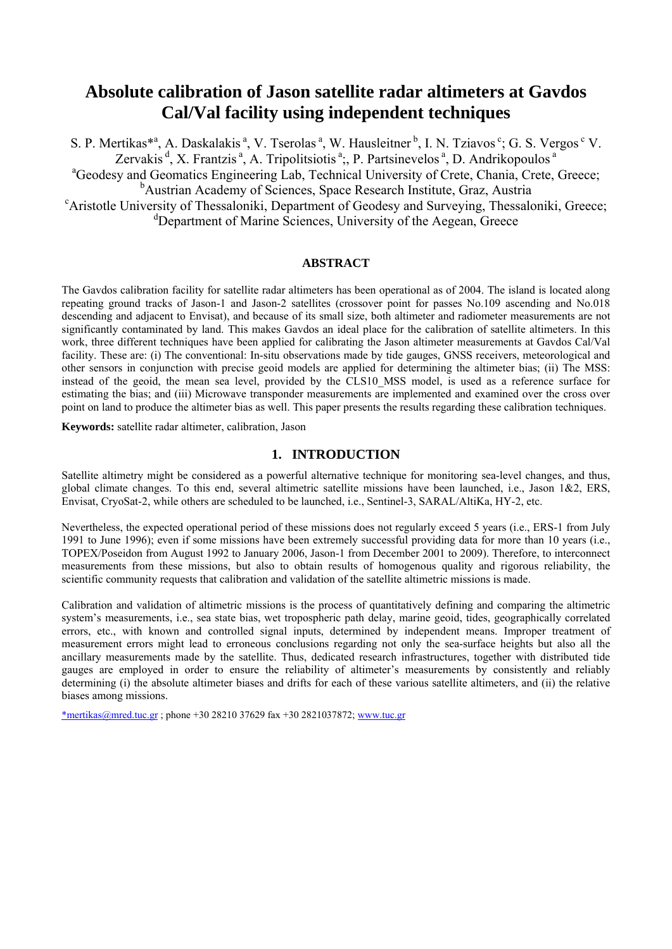# **Absolute calibration of Jason satellite radar altimeters at Gavdos Cal/Val facility using independent techniques**

S. P. Mertikas\*<sup>a</sup>, A. Daskalakis<sup>a</sup>, V. Tserolas<sup>a</sup>, W. Hausleitner<sup>b</sup>, I. N. Tziavos<sup>c</sup>; G. S. Vergos<sup>c</sup> V. Zervakis  $d$ , X. Frantzis  $a$ , A. Tripolitsiotis  $a$ ;, P. Partsinevelos  $a$ , D. Andrikopoulos  $a$ <sup>a</sup>Geodesy and Geomatics Engineering Lab, Technical University of Crete, Chania, Crete, Greece; <sup>b</sup> Austrian Academy of Sciences, Space Research Institute, Graz, Austria <sup>c</sup>Aristotle University of Thessaloniki, Department of Geodesy and Surveying, Thessaloniki, Greece; <sup>d</sup>Department of Marine Sciences, University of the Aegean, Greece

#### **ABSTRACT**

The Gavdos calibration facility for satellite radar altimeters has been operational as of 2004. The island is located along repeating ground tracks of Jason-1 and Jason-2 satellites (crossover point for passes No.109 ascending and No.018 descending and adjacent to Envisat), and because of its small size, both altimeter and radiometer measurements are not significantly contaminated by land. This makes Gavdos an ideal place for the calibration of satellite altimeters. In this work, three different techniques have been applied for calibrating the Jason altimeter measurements at Gavdos Cal/Val facility. These are: (i) The conventional: In-situ observations made by tide gauges, GNSS receivers, meteorological and other sensors in conjunction with precise geoid models are applied for determining the altimeter bias; (ii) The MSS: instead of the geoid, the mean sea level, provided by the CLS10\_MSS model, is used as a reference surface for estimating the bias; and (iii) Microwave transponder measurements are implemented and examined over the cross over point on land to produce the altimeter bias as well. This paper presents the results regarding these calibration techniques.

**Keywords:** satellite radar altimeter, calibration, Jason

## **1. INTRODUCTION**

Satellite altimetry might be considered as a powerful alternative technique for monitoring sea-level changes, and thus, global climate changes. To this end, several altimetric satellite missions have been launched, i.e., Jason  $1&2$ , ERS, Envisat, CryoSat-2, while others are scheduled to be launched, i.e., Sentinel-3, SARAL/AltiKa, HY-2, etc.

Nevertheless, the expected operational period of these missions does not regularly exceed 5 years (i.e., ERS-1 from July 1991 to June 1996); even if some missions have been extremely successful providing data for more than 10 years (i.e., TOPEX/Poseidon from August 1992 to January 2006, Jason-1 from December 2001 to 2009). Therefore, to interconnect measurements from these missions, but also to obtain results of homogenous quality and rigorous reliability, the scientific community requests that calibration and validation of the satellite altimetric missions is made.

Calibration and validation of altimetric missions is the process of quantitatively defining and comparing the altimetric system's measurements, i.e., sea state bias, wet tropospheric path delay, marine geoid, tides, geographically correlated errors, etc., with known and controlled signal inputs, determined by independent means. Improper treatment of measurement errors might lead to erroneous conclusions regarding not only the sea-surface heights but also all the ancillary measurements made by the satellite. Thus, dedicated research infrastructures, together with distributed tide gauges are employed in order to ensure the reliability of altimeter's measurements by consistently and reliably determining (i) the absolute altimeter biases and drifts for each of these various satellite altimeters, and (ii) the relative biases among missions.

\*mertikas@mred.tuc.gr; phone +30 28210 37629 fax +30 2821037872; www.tuc.gr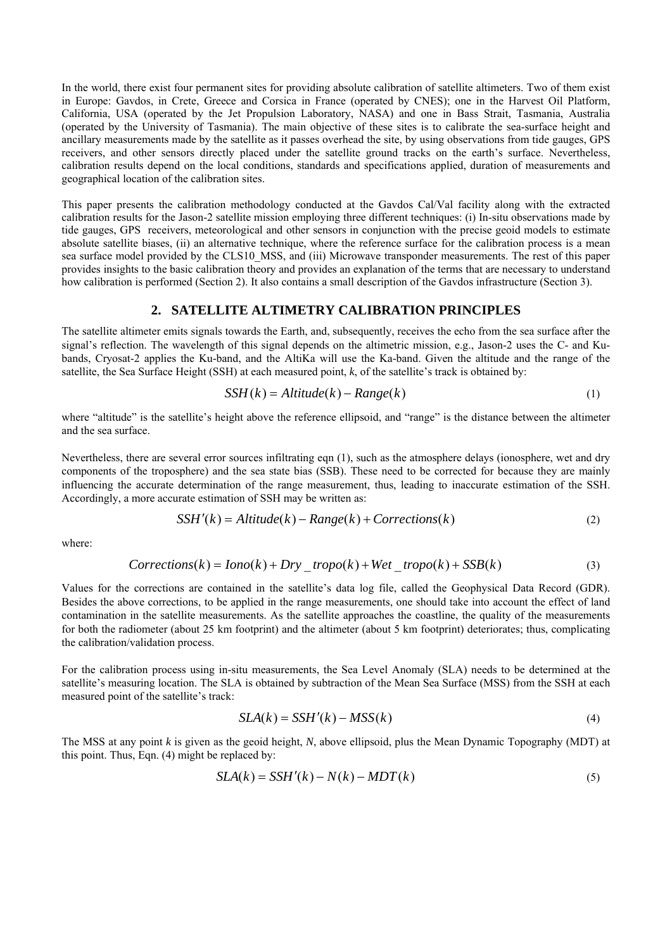In the world, there exist four permanent sites for providing absolute calibration of satellite altimeters. Two of them exist in Europe: Gavdos, in Crete, Greece and Corsica in France (operated by CNES); one in the Harvest Oil Platform, California, USA (operated by the Jet Propulsion Laboratory, NASA) and one in Bass Strait, Tasmania, Australia (operated by the University of Tasmania). The main objective of these sites is to calibrate the sea-surface height and ancillary measurements made by the satellite as it passes overhead the site, by using observations from tide gauges, GPS receivers, and other sensors directly placed under the satellite ground tracks on the earth's surface. Nevertheless, calibration results depend on the local conditions, standards and specifications applied, duration of measurements and geographical location of the calibration sites.

This paper presents the calibration methodology conducted at the Gavdos Cal/Val facility along with the extracted calibration results for the Jason-2 satellite mission employing three different techniques: (i) In-situ observations made by tide gauges, GPS receivers, meteorological and other sensors in conjunction with the precise geoid models to estimate absolute satellite biases, (ii) an alternative technique, where the reference surface for the calibration process is a mean sea surface model provided by the CLS10 MSS, and (iii) Microwave transponder measurements. The rest of this paper provides insights to the basic calibration theory and provides an explanation of the terms that are necessary to understand how calibration is performed (Section 2). It also contains a small description of the Gavdos infrastructure (Section 3).

## **2. SATELLITE ALTIMETRY CALIBRATION PRINCIPLES**

The satellite altimeter emits signals towards the Earth, and, subsequently, receives the echo from the sea surface after the signal's reflection. The wavelength of this signal depends on the altimetric mission, e.g., Jason-2 uses the C- and Kubands, Cryosat-2 applies the Ku-band, and the AltiKa will use the Ka-band. Given the altitude and the range of the satellite, the Sea Surface Height (SSH) at each measured point, *k*, of the satellite's track is obtained by:

$$
SSH(k) = Altitude(k) - Range(k)
$$
\n(1)

where "altitude" is the satellite's height above the reference ellipsoid, and "range" is the distance between the altimeter and the sea surface.

Nevertheless, there are several error sources infiltrating eqn (1), such as the atmosphere delays (ionosphere, wet and dry components of the troposphere) and the sea state bias (SSB). These need to be corrected for because they are mainly influencing the accurate determination of the range measurement, thus, leading to inaccurate estimation of the SSH. Accordingly, a more accurate estimation of SSH may be written as:

$$
SSH'(k) = Altitude(k) - Range(k) + Corrections(k)
$$
\n(2)

where:

$$
Corrections(k) = Iono(k) + Dry\_tropo(k) + Wet\_tropo(k) + SSB(k)
$$
\n(3)

Values for the corrections are contained in the satellite's data log file, called the Geophysical Data Record (GDR). Besides the above corrections, to be applied in the range measurements, one should take into account the effect of land contamination in the satellite measurements. As the satellite approaches the coastline, the quality of the measurements for both the radiometer (about 25 km footprint) and the altimeter (about 5 km footprint) deteriorates; thus, complicating the calibration/validation process.

For the calibration process using in-situ measurements, the Sea Level Anomaly (SLA) needs to be determined at the satellite's measuring location. The SLA is obtained by subtraction of the Mean Sea Surface (MSS) from the SSH at each measured point of the satellite's track:

$$
SLA(k) = SSH'(k) - MSS(k)
$$
\n(4)

The MSS at any point *k* is given as the geoid height, *N*, above ellipsoid, plus the Mean Dynamic Topography (MDT) at this point. Thus, Eqn. (4) might be replaced by:

$$
SLA(k) = SSH'(k) - N(k) - MDT(k)
$$
\n(5)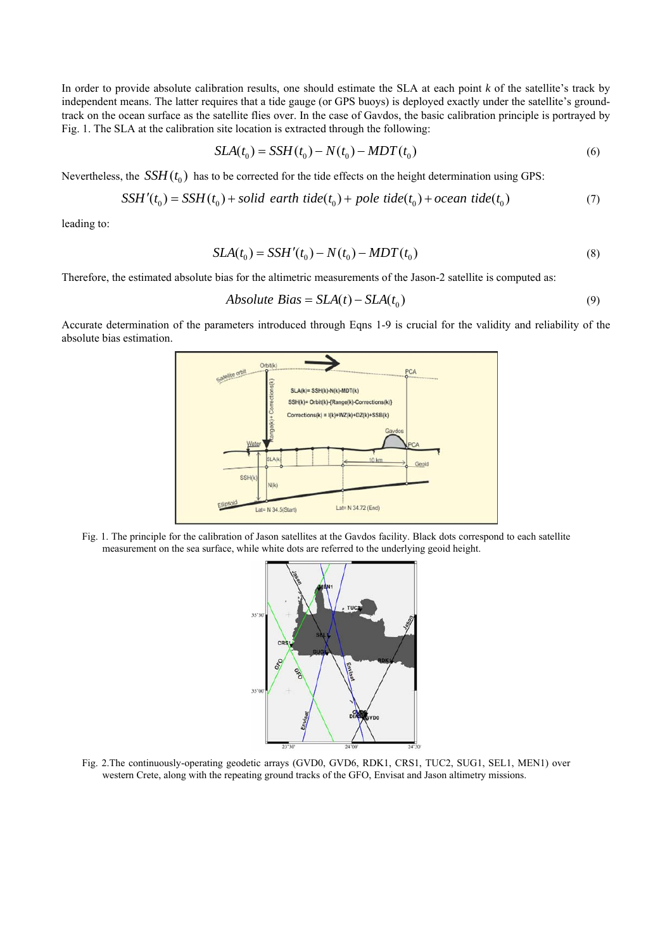In order to provide absolute calibration results, one should estimate the SLA at each point *k* of the satellite's track by independent means. The latter requires that a tide gauge (or GPS buoys) is deployed exactly under the satellite's groundtrack on the ocean surface as the satellite flies over. In the case of Gavdos, the basic calibration principle is portrayed by Fig. 1. The SLA at the calibration site location is extracted through the following:

$$
SLA(t_0) = SSH(t_0) - N(t_0) - MDT(t_0)
$$
\n(6)

Nevertheless, the  $SSH(t_0)$  has to be corrected for the tide effects on the height determination using GPS:

$$
SSH'(t_0) = SSH(t_0) + solid \ earth \ tide(t_0) + pole \ tide(t_0) + ocean \ tide(t_0)
$$
\n
$$
(7)
$$

leading to:

$$
SLA(t_0) = SSH'(t_0) - N(t_0) - MDT(t_0)
$$
\n(8)

Therefore, the estimated absolute bias for the altimetric measurements of the Jason-2 satellite is computed as:

*Absolute Bias* = 
$$
SLA(t) - SLA(t_0)
$$
 (9)

Accurate determination of the parameters introduced through Eqns 1-9 is crucial for the validity and reliability of the absolute bias estimation.



Fig. 1. The principle for the calibration of Jason satellites at the Gavdos facility. Black dots correspond to each satellite measurement on the sea surface, while white dots are referred to the underlying geoid height.



Fig. 2.The continuously-operating geodetic arrays (GVD0, GVD6, RDK1, CRS1, TUC2, SUG1, SEL1, MEN1) over western Crete, along with the repeating ground tracks of the GFO, Envisat and Jason altimetry missions.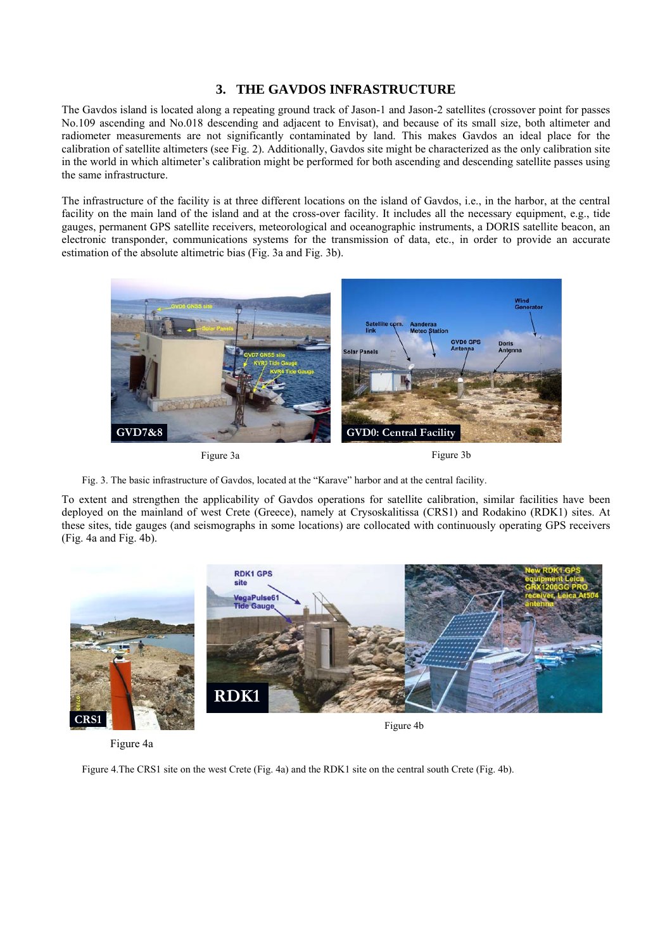## **3. THE GAVDOS INFRASTRUCTURE**

The Gavdos island is located along a repeating ground track of Jason-1 and Jason-2 satellites (crossover point for passes No.109 ascending and No.018 descending and adjacent to Envisat), and because of its small size, both altimeter and radiometer measurements are not significantly contaminated by land. This makes Gavdos an ideal place for the calibration of satellite altimeters (see Fig. 2). Additionally, Gavdos site might be characterized as the only calibration site in the world in which altimeter's calibration might be performed for both ascending and descending satellite passes using the same infrastructure.

The infrastructure of the facility is at three different locations on the island of Gavdos, i.e., in the harbor, at the central facility on the main land of the island and at the cross-over facility. It includes all the necessary equipment, e.g., tide gauges, permanent GPS satellite receivers, meteorological and oceanographic instruments, a DORIS satellite beacon, an electronic transponder, communications systems for the transmission of data, etc., in order to provide an accurate estimation of the absolute altimetric bias (Fig. 3a and Fig. 3b).



Figure 3a Figure 3b



To extent and strengthen the applicability of Gavdos operations for satellite calibration, similar facilities have been deployed on the mainland of west Crete (Greece), namely at Crysoskalitissa (CRS1) and Rodakino (RDK1) sites. At these sites, tide gauges (and seismographs in some locations) are collocated with continuously operating GPS receivers (Fig. 4a and Fig. 4b).



Figure 4a

Figure 4.The CRS1 site on the west Crete (Fig. 4a) and the RDK1 site on the central south Crete (Fig. 4b).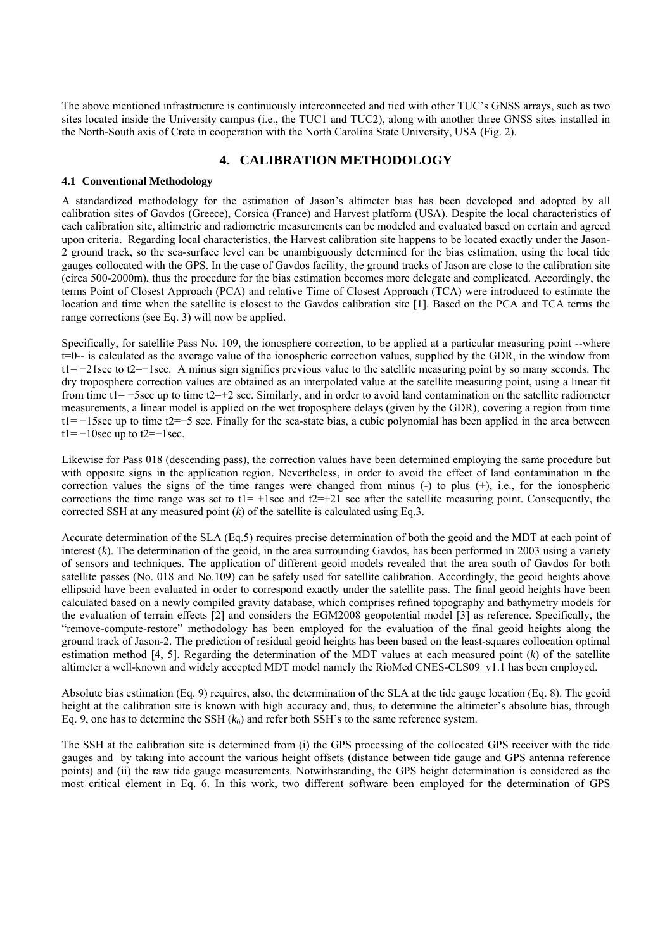The above mentioned infrastructure is continuously interconnected and tied with other TUC's GNSS arrays, such as two sites located inside the University campus (i.e., the TUC1 and TUC2), along with another three GNSS sites installed in the North-South axis of Crete in cooperation with the North Carolina State University, USA (Fig. 2).

## **4. CALIBRATION METHODOLOGY**

#### **4.1 Conventional Methodology**

A standardized methodology for the estimation of Jason's altimeter bias has been developed and adopted by all calibration sites of Gavdos (Greece), Corsica (France) and Harvest platform (USA). Despite the local characteristics of each calibration site, altimetric and radiometric measurements can be modeled and evaluated based on certain and agreed upon criteria. Regarding local characteristics, the Harvest calibration site happens to be located exactly under the Jason-2 ground track, so the sea-surface level can be unambiguously determined for the bias estimation, using the local tide gauges collocated with the GPS. In the case of Gavdos facility, the ground tracks of Jason are close to the calibration site (circa 500-2000m), thus the procedure for the bias estimation becomes more delegate and complicated. Accordingly, the terms Point of Closest Approach (PCA) and relative Time of Closest Approach (TCA) were introduced to estimate the location and time when the satellite is closest to the Gavdos calibration site [1]. Based on the PCA and TCA terms the range corrections (see Eq. 3) will now be applied.

Specifically, for satellite Pass No. 109, the ionosphere correction, to be applied at a particular measuring point --where t=0-- is calculated as the average value of the ionospheric correction values, supplied by the GDR, in the window from t1= −21sec to t2=−1sec. A minus sign signifies previous value to the satellite measuring point by so many seconds. The dry troposphere correction values are obtained as an interpolated value at the satellite measuring point, using a linear fit from time t1= −5sec up to time t2=+2 sec. Similarly, and in order to avoid land contamination on the satellite radiometer measurements, a linear model is applied on the wet troposphere delays (given by the GDR), covering a region from time t1= −15sec up to time t2=−5 sec. Finally for the sea-state bias, a cubic polynomial has been applied in the area between t1=  $-10$ sec up to t2= $-1$ sec.

Likewise for Pass 018 (descending pass), the correction values have been determined employing the same procedure but with opposite signs in the application region. Nevertheless, in order to avoid the effect of land contamination in the correction values the signs of the time ranges were changed from minus (-) to plus (+), i.e., for the ionospheric corrections the time range was set to  $t1 = +1$ sec and  $t2 = +21$  sec after the satellite measuring point. Consequently, the corrected SSH at any measured point  $(k)$  of the satellite is calculated using Eq.3.

Accurate determination of the SLA (Eq.5) requires precise determination of both the geoid and the MDT at each point of interest (*k*). The determination of the geoid, in the area surrounding Gavdos, has been performed in 2003 using a variety of sensors and techniques. The application of different geoid models revealed that the area south of Gavdos for both satellite passes (No. 018 and No.109) can be safely used for satellite calibration. Accordingly, the geoid heights above ellipsoid have been evaluated in order to correspond exactly under the satellite pass. The final geoid heights have been calculated based on a newly compiled gravity database, which comprises refined topography and bathymetry models for the evaluation of terrain effects [2] and considers the EGM2008 geopotential model [3] as reference. Specifically, the "remove-compute-restore" methodology has been employed for the evaluation of the final geoid heights along the ground track of Jason-2. The prediction of residual geoid heights has been based on the least-squares collocation optimal estimation method [4, 5]. Regarding the determination of the MDT values at each measured point (*k*) of the satellite altimeter a well-known and widely accepted MDT model namely the RioMed CNES-CLS09 v1.1 has been employed.

Absolute bias estimation (Eq. 9) requires, also, the determination of the SLA at the tide gauge location (Eq. 8). The geoid height at the calibration site is known with high accuracy and, thus, to determine the altimeter's absolute bias, through Eq. 9, one has to determine the SSH  $(k_0)$  and refer both SSH's to the same reference system.

The SSH at the calibration site is determined from (i) the GPS processing of the collocated GPS receiver with the tide gauges and by taking into account the various height offsets (distance between tide gauge and GPS antenna reference points) and (ii) the raw tide gauge measurements. Notwithstanding, the GPS height determination is considered as the most critical element in Eq. 6. In this work, two different software been employed for the determination of GPS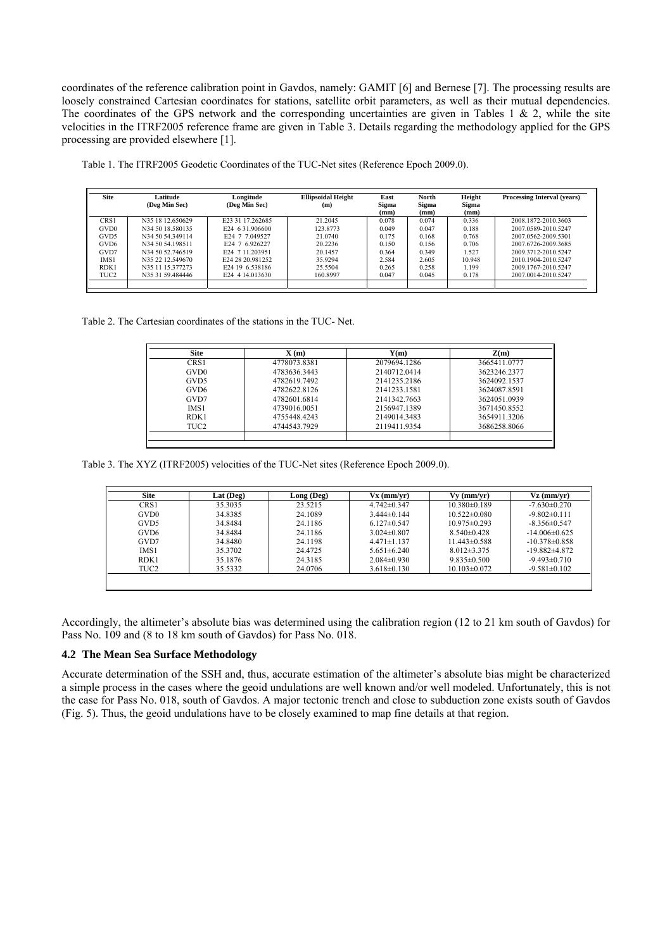coordinates of the reference calibration point in Gavdos, namely: GAMIT [6] and Bernese [7]. The processing results are loosely constrained Cartesian coordinates for stations, satellite orbit parameters, as well as their mutual dependencies. The coordinates of the GPS network and the corresponding uncertainties are given in Tables 1  $\&$  2, while the site velocities in the ITRF2005 reference frame are given in Table 3. Details regarding the methodology applied for the GPS processing are provided elsewhere [1].

| <b>Site</b>      | Latitude<br>(Deg Min Sec) | Longitude<br>(Deg Min Sec)   | <b>Ellipsoidal Height</b><br>(m) | East<br>Sigma | North<br>Sigma | Height<br><b>Sigma</b> | <b>Processing Interval (years)</b> |
|------------------|---------------------------|------------------------------|----------------------------------|---------------|----------------|------------------------|------------------------------------|
|                  |                           |                              |                                  | (mm)          | (mm)           | (mm)                   |                                    |
| CRS1             | N35 18 12 650629          | E23 31 17 262685             | 21 2045                          | 0.078         | 0 0 7 4        | 0.336                  | 2008.1872-2010.3603                |
| GVD <sub>0</sub> | N34 50 18 580135          | E24 6 31 906600              | 123 8773                         | 0.049         | 0.047          | 0.188                  | 2007 0589-2010 5247                |
| GVD <sub>5</sub> | N34 50 54.349114          | E24 7 7 049527               | 21 0740                          | 0.175         | 0.168          | 0.768                  | 2007 0562-2009 5301                |
| GVD <sub>6</sub> | N34 50 54 198511          | E24 7 6 926227               | 20 2236                          | 0.150         | 0.156          | 0.706                  | 2007 6726-2009 3685                |
| GVD7             | N34 50 52.746519          | E24 7 11 203951              | 20.1457                          | 0.364         | 0.349          | 1.527                  | 2009 3712-2010 5247                |
| IMS <sub>1</sub> | N35 22 12 549670          | E <sub>24</sub> 28 20 981252 | 35 9294                          | 2.584         | 2.605          | 10 948                 | 2010 1904-2010 5247                |
| RDK1             | N35 11 15 377273          | E24 19 6 538186              | 25.5504                          | 0.265         | 0.258          | 1199                   | 2009 1767-2010 5247                |
| TUC <sub>2</sub> | N35 31 59.484446          | E24 4 14.013630              | 160.8997                         | 0.047         | 0.045          | 0.178                  | 2007.0014-2010.5247                |
|                  |                           |                              |                                  |               |                |                        |                                    |

Table 1. The ITRF2005 Geodetic Coordinates of the TUC-Net sites (Reference Epoch 2009.0).

Table 2. The Cartesian coordinates of the stations in the TUC- Net.

| <b>Site</b> | $\mathbf{X}(\mathbf{m})$ | $\mathbf{Y}(\mathbf{m})$ | Z(m)         |
|-------------|--------------------------|--------------------------|--------------|
| CRS1        | 4778073.8381             | 2079694.1286             | 3665411.0777 |
| GVD0        | 4783636.3443             | 2140712.0414             | 3623246.2377 |
| GVD5        | 4782619.7492             | 2141235.2186             | 3624092.1537 |
| GVD6        | 47826228126              | 2141233 1581             | 3624087.8591 |
| GVD7        | 4782601.6814             | 2141342.7663             | 3624051.0939 |
| IMS1        | 4739016.0051             | 2156947.1389             | 3671450.8552 |
| RDK1        | 4755448.4243             | 2149014.3483             | 3654911.3206 |
| TUC2        | 4744543.7929             | 2119411.9354             | 3686258.8066 |

Table 3. The XYZ (ITRF2005) velocities of the TUC-Net sites (Reference Epoch 2009.0).

| <b>Site</b>      | Lat $($ Deg $)$ | Long (Deg) | Vx (mm/vr)        | $Vv$ (mm/vr)       | Vz (mm/vr)         |
|------------------|-----------------|------------|-------------------|--------------------|--------------------|
| CRS1             | 35.3035         | 23.5215    | $4.742 \pm 0.347$ | $10.380\pm0.189$   | $-7.630 \pm 0.270$ |
| GVD <sub>0</sub> | 34.8385         | 24.1089    | $3.444\pm 0.144$  | $10.522 \pm 0.080$ | $-9.802\pm0.111$   |
| GVD5             | 34.8484         | 24.1186    | $6.127\pm 0.547$  | $10.975 \pm 0.293$ | $-8.356 \pm 0.547$ |
| GVD6             | 34.8484         | 24.1186    | $3.024\pm 0.807$  | $8.540\pm0.428$    | $-14.006\pm0.625$  |
| GVD7             | 34.8480         | 24.1198    | $4.471 \pm 1.137$ | $11.443 \pm 0.588$ | $-10.378\pm0.858$  |
| <b>IMS1</b>      | 35.3702         | 24.4725    | $5.651 \pm 6.240$ | $8.012\pm3.375$    | $-19.882\pm 4.872$ |
| RDK1             | 35.1876         | 24.3185    | $2.084 \pm 0.930$ | $9.835 \pm 0.500$  | $-9.493 \pm 0.710$ |
| TUC2             | 35.5332         | 24.0706    | $3.618 \pm 0.130$ | $10.103 \pm 0.072$ | $-9.581 \pm 0.102$ |

Accordingly, the altimeter's absolute bias was determined using the calibration region (12 to 21 km south of Gavdos) for Pass No. 109 and (8 to 18 km south of Gavdos) for Pass No. 018.

#### **4.2 The Mean Sea Surface Methodology**

Accurate determination of the SSH and, thus, accurate estimation of the altimeter's absolute bias might be characterized a simple process in the cases where the geoid undulations are well known and/or well modeled. Unfortunately, this is not the case for Pass No. 018, south of Gavdos. A major tectonic trench and close to subduction zone exists south of Gavdos (Fig. 5). Thus, the geoid undulations have to be closely examined to map fine details at that region.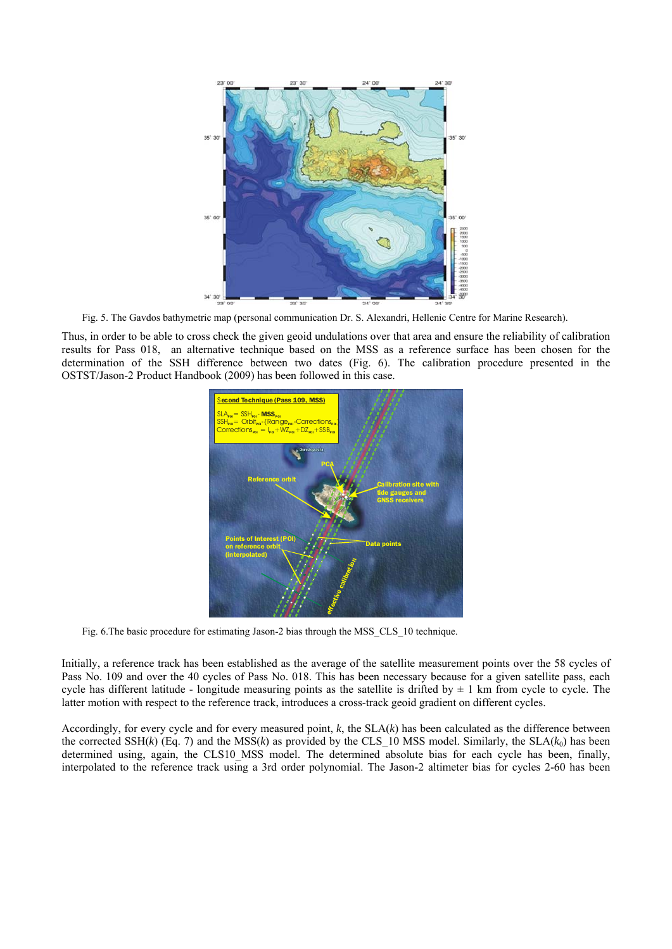

Fig. 5. The Gavdos bathymetric map (personal communication Dr. S. Alexandri, Hellenic Centre for Marine Research).

Thus, in order to be able to cross check the given geoid undulations over that area and ensure the reliability of calibration results for Pass 018, an alternative technique based on the MSS as a reference surface has been chosen for the determination of the SSH difference between two dates (Fig. 6). The calibration procedure presented in the OSTST/Jason-2 Product Handbook (2009) has been followed in this case.



Fig. 6.The basic procedure for estimating Jason-2 bias through the MSS\_CLS\_10 technique.

Initially, a reference track has been established as the average of the satellite measurement points over the 58 cycles of Pass No. 109 and over the 40 cycles of Pass No. 018. This has been necessary because for a given satellite pass, each cycle has different latitude - longitude measuring points as the satellite is drifted by  $\pm 1$  km from cycle to cycle. The latter motion with respect to the reference track, introduces a cross-track geoid gradient on different cycles.

Accordingly, for every cycle and for every measured point, *k*, the SLA(*k*) has been calculated as the difference between the corrected SSH( $k$ ) (Eq. 7) and the MSS( $k$ ) as provided by the CLS\_10 MSS model. Similarly, the SLA( $k_0$ ) has been determined using, again, the CLS10 MSS model. The determined absolute bias for each cycle has been, finally, interpolated to the reference track using a 3rd order polynomial. The Jason-2 altimeter bias for cycles 2-60 has been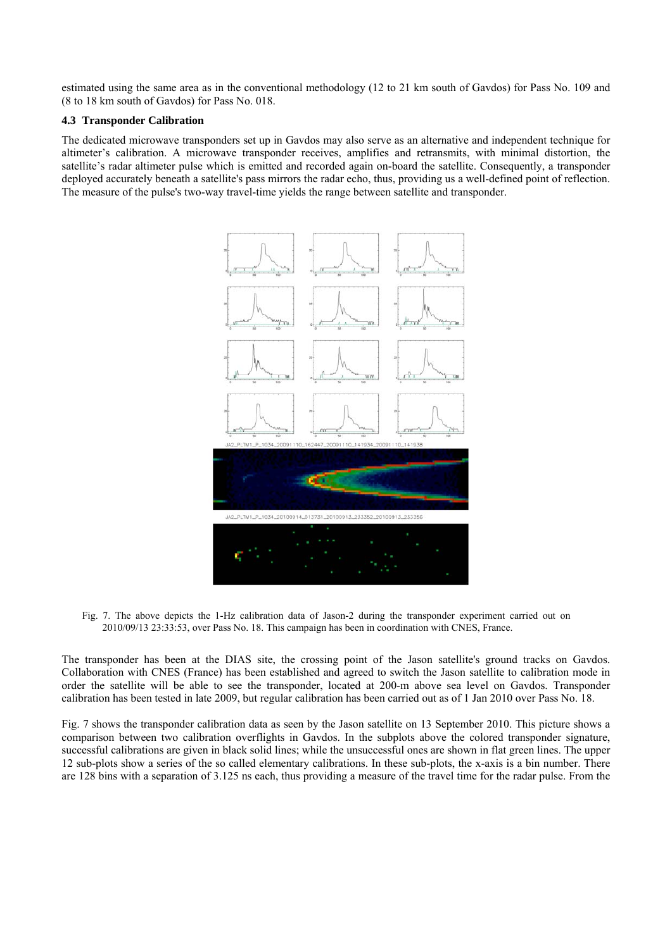estimated using the same area as in the conventional methodology (12 to 21 km south of Gavdos) for Pass No. 109 and (8 to 18 km south of Gavdos) for Pass No. 018.

#### **4.3 Transponder Calibration**

The dedicated microwave transponders set up in Gavdos may also serve as an alternative and independent technique for altimeter's calibration. A microwave transponder receives, amplifies and retransmits, with minimal distortion, the satellite's radar altimeter pulse which is emitted and recorded again on-board the satellite. Consequently, a transponder deployed accurately beneath a satellite's pass mirrors the radar echo, thus, providing us a well-defined point of reflection. The measure of the pulse's two-way travel-time yields the range between satellite and transponder.



Fig. 7. The above depicts the 1-Hz calibration data of Jason-2 during the transponder experiment carried out on 2010/09/13 23:33:53, over Pass No. 18. This campaign has been in coordination with CNES, France.

The transponder has been at the DIAS site, the crossing point of the Jason satellite's ground tracks on Gavdos. Collaboration with CNES (France) has been established and agreed to switch the Jason satellite to calibration mode in order the satellite will be able to see the transponder, located at 200-m above sea level on Gavdos. Transponder calibration has been tested in late 2009, but regular calibration has been carried out as of 1 Jan 2010 over Pass No. 18.

Fig. 7 shows the transponder calibration data as seen by the Jason satellite on 13 September 2010. This picture shows a comparison between two calibration overflights in Gavdos. In the subplots above the colored transponder signature, successful calibrations are given in black solid lines; while the unsuccessful ones are shown in flat green lines. The upper 12 sub-plots show a series of the so called elementary calibrations. In these sub-plots, the x-axis is a bin number. There are 128 bins with a separation of 3.125 ns each, thus providing a measure of the travel time for the radar pulse. From the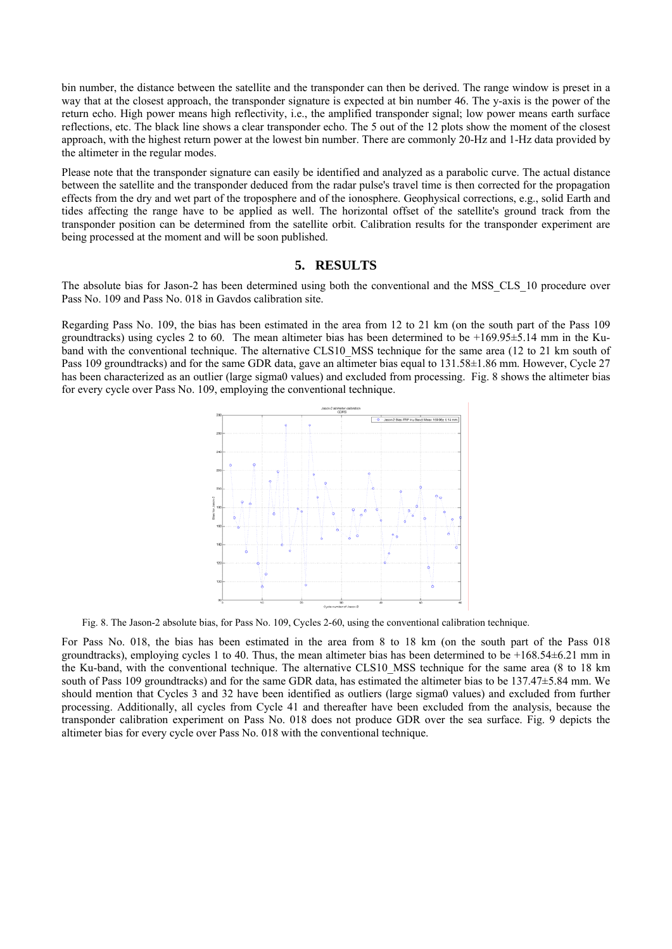bin number, the distance between the satellite and the transponder can then be derived. The range window is preset in a way that at the closest approach, the transponder signature is expected at bin number 46. The y-axis is the power of the return echo. High power means high reflectivity, i.e., the amplified transponder signal; low power means earth surface reflections, etc. The black line shows a clear transponder echo. The 5 out of the 12 plots show the moment of the closest approach, with the highest return power at the lowest bin number. There are commonly 20-Hz and 1-Hz data provided by the altimeter in the regular modes.

Please note that the transponder signature can easily be identified and analyzed as a parabolic curve. The actual distance between the satellite and the transponder deduced from the radar pulse's travel time is then corrected for the propagation effects from the dry and wet part of the troposphere and of the ionosphere. Geophysical corrections, e.g., solid Earth and tides affecting the range have to be applied as well. The horizontal offset of the satellite's ground track from the transponder position can be determined from the satellite orbit. Calibration results for the transponder experiment are being processed at the moment and will be soon published.

## **5. RESULTS**

The absolute bias for Jason-2 has been determined using both the conventional and the MSS\_CLS\_10 procedure over Pass No. 109 and Pass No. 018 in Gavdos calibration site.

Regarding Pass No. 109, the bias has been estimated in the area from 12 to 21 km (on the south part of the Pass 109 groundtracks) using cycles 2 to 60. The mean altimeter bias has been determined to be  $+169.95\pm5.14$  mm in the Kuband with the conventional technique. The alternative CLS10 MSS technique for the same area (12 to 21 km south of Pass 109 groundtracks) and for the same GDR data, gave an altimeter bias equal to 131.58±1.86 mm. However, Cycle 27 has been characterized as an outlier (large sigma0 values) and excluded from processing. Fig. 8 shows the altimeter bias for every cycle over Pass No. 109, employing the conventional technique.



Fig. 8. The Jason-2 absolute bias, for Pass No. 109, Cycles 2-60, using the conventional calibration technique.

For Pass No. 018, the bias has been estimated in the area from 8 to 18 km (on the south part of the Pass 018 groundtracks), employing cycles 1 to 40. Thus, the mean altimeter bias has been determined to be  $+168.54\pm6.21$  mm in the Ku-band, with the conventional technique. The alternative CLS10\_MSS technique for the same area (8 to 18 km south of Pass 109 groundtracks) and for the same GDR data, has estimated the altimeter bias to be 137.47 $\pm$ 5.84 mm. We should mention that Cycles 3 and 32 have been identified as outliers (large sigma0 values) and excluded from further processing. Additionally, all cycles from Cycle 41 and thereafter have been excluded from the analysis, because the transponder calibration experiment on Pass No. 018 does not produce GDR over the sea surface. Fig. 9 depicts the altimeter bias for every cycle over Pass No. 018 with the conventional technique.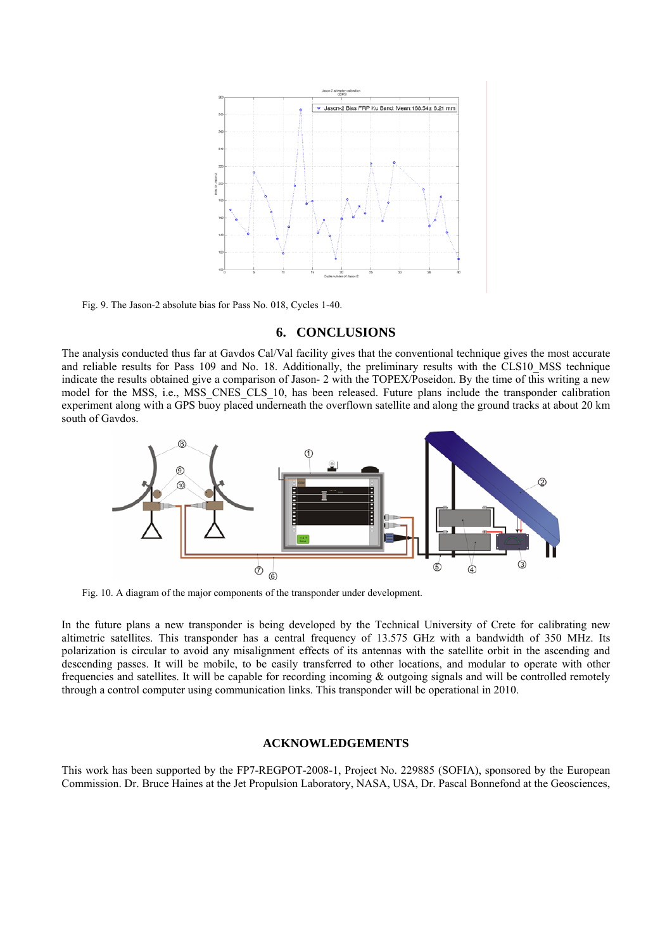

Fig. 9. The Jason-2 absolute bias for Pass No. 018, Cycles 1-40.

### **6. CONCLUSIONS**

The analysis conducted thus far at Gavdos Cal/Val facility gives that the conventional technique gives the most accurate and reliable results for Pass 109 and No. 18. Additionally, the preliminary results with the CLS10\_MSS technique indicate the results obtained give a comparison of Jason- 2 with the TOPEX/Poseidon. By the time of this writing a new model for the MSS, i.e., MSS CNES CLS 10, has been released. Future plans include the transponder calibration experiment along with a GPS buoy placed underneath the overflown satellite and along the ground tracks at about 20 km south of Gavdos.



Fig. 10. A diagram of the major components of the transponder under development.

In the future plans a new transponder is being developed by the Technical University of Crete for calibrating new altimetric satellites. This transponder has a central frequency of 13.575 GHz with a bandwidth of 350 MHz. Its polarization is circular to avoid any misalignment effects of its antennas with the satellite orbit in the ascending and descending passes. It will be mobile, to be easily transferred to other locations, and modular to operate with other frequencies and satellites. It will be capable for recording incoming  $\&$  outgoing signals and will be controlled remotely through a control computer using communication links. This transponder will be operational in 2010.

#### **ACKNOWLEDGEMENTS**

This work has been supported by the FP7-REGPOT-2008-1, Project No. 229885 (SOFIA), sponsored by the European Commission. Dr. Bruce Haines at the Jet Propulsion Laboratory, NASA, USA, Dr. Pascal Bonnefond at the Geosciences,